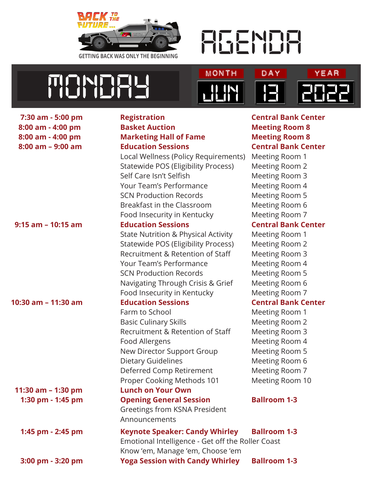



**TICINDERS JUNE 1999** 

| 7:30 am - 5:00 pm    | <b>Registration</b>                               | <b>Central Bank Center</b> |
|----------------------|---------------------------------------------------|----------------------------|
| 8:00 am - 4:00 pm    | <b>Basket Auction</b>                             | <b>Meeting Room 8</b>      |
| 8:00 am - 4:00 pm    | <b>Marketing Hall of Fame</b>                     | <b>Meeting Room 8</b>      |
| 8:00 am - 9:00 am    | <b>Education Sessions</b>                         | <b>Central Bank Center</b> |
|                      | Local Wellness (Policy Requirements)              | Meeting Room 1             |
|                      | Statewide POS (Eligibility Process)               | Meeting Room 2             |
|                      | Self Care Isn't Selfish                           | Meeting Room 3             |
|                      | Your Team's Performance                           | Meeting Room 4             |
|                      | <b>SCN Production Records</b>                     | Meeting Room 5             |
|                      | Breakfast in the Classroom                        | Meeting Room 6             |
|                      | Food Insecurity in Kentucky                       | Meeting Room 7             |
| $9:15$ am - 10:15 am | <b>Education Sessions</b>                         | <b>Central Bank Center</b> |
|                      | <b>State Nutrition &amp; Physical Activity</b>    | Meeting Room 1             |
|                      | Statewide POS (Eligibility Process)               | Meeting Room 2             |
|                      | Recruitment & Retention of Staff                  | Meeting Room 3             |
|                      | Your Team's Performance                           | Meeting Room 4             |
|                      | <b>SCN Production Records</b>                     | Meeting Room 5             |
|                      | Navigating Through Crisis & Grief                 | Meeting Room 6             |
|                      | Food Insecurity in Kentucky                       | Meeting Room 7             |
| 10:30 am - 11:30 am  | <b>Education Sessions</b>                         | <b>Central Bank Center</b> |
|                      | Farm to School                                    | Meeting Room 1             |
|                      | <b>Basic Culinary Skills</b>                      | Meeting Room 2             |
|                      | Recruitment & Retention of Staff                  | Meeting Room 3             |
|                      | Food Allergens                                    | Meeting Room 4             |
|                      | New Director Support Group                        | <b>Meeting Room 5</b>      |
|                      | <b>Dietary Guidelines</b>                         | Meeting Room 6             |
|                      | Deferred Comp Retirement                          | Meeting Room 7             |
|                      | Proper Cooking Methods 101                        | Meeting Room 10            |
| 11:30 am - 1:30 pm   | <b>Lunch on Your Own</b>                          |                            |
| 1:30 pm - 1:45 pm    | <b>Opening General Session</b>                    | <b>Ballroom 1-3</b>        |
|                      | Greetings from KSNA President                     |                            |
|                      | Announcements                                     |                            |
| 1:45 pm - 2:45 pm    | <b>Keynote Speaker: Candy Whirley</b>             | <b>Ballroom 1-3</b>        |
|                      | Emotional Intelligence - Get off the Roller Coast |                            |
|                      | Know 'em, Manage 'em, Choose 'em                  |                            |
| 3:00 pm - 3:20 pm    | <b>Yoga Session with Candy Whirley</b>            | <b>Ballroom 1-3</b>        |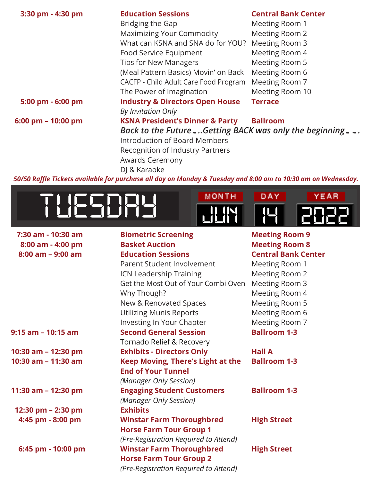| 3:30 pm - 4:30 pm  | <b>Education Sessions</b>                             | <b>Central Bank Center</b> |
|--------------------|-------------------------------------------------------|----------------------------|
|                    | Bridging the Gap                                      | Meeting Room 1             |
|                    | <b>Maximizing Your Commodity</b>                      | Meeting Room 2             |
|                    | What can KSNA and SNA do for YOU?                     | Meeting Room 3             |
|                    | Food Service Equipment                                | Meeting Room 4             |
|                    | <b>Tips for New Managers</b>                          | Meeting Room 5             |
|                    | (Meal Pattern Basics) Movin' on Back                  | Meeting Room 6             |
|                    | CACFP - Child Adult Care Food Program                 | Meeting Room 7             |
|                    | The Power of Imagination                              | Meeting Room 10            |
| 5:00 pm - 6:00 pm  | <b>Industry &amp; Directors Open House</b>            | <b>Terrace</b>             |
|                    | By Invitation Only                                    |                            |
| 6:00 pm - 10:00 pm | <b>KSNA President's Dinner &amp; Party</b>            | <b>Ballroom</b>            |
|                    | Back to the FutureGetting BACK was only the beginning |                            |
|                    | <b>Introduction of Board Members</b>                  |                            |
|                    | Recognition of Industry Partners                      |                            |
|                    | Awards Ceremony                                       |                            |
|                    | DJ & Karaoke                                          |                            |
|                    |                                                       |                            |

*50/50 Raffle Tickets available for purchase all day on Monday & Tuesday and 8:00 am to 10:30 am on Wednesday.*





| 7:30 am - 10:30 am  | <b>Biometric Screening</b>            | <b>Meeting Room 9</b>      |
|---------------------|---------------------------------------|----------------------------|
| 8:00 am - 4:00 pm   | <b>Basket Auction</b>                 | <b>Meeting Room 8</b>      |
| $8:00$ am - 9:00 am | <b>Education Sessions</b>             | <b>Central Bank Center</b> |
|                     | Parent Student Involvement            | Meeting Room 1             |
|                     | ICN Leadership Training               | Meeting Room 2             |
|                     | Get the Most Out of Your Combi Oven   | Meeting Room 3             |
|                     | Why Though?                           | Meeting Room 4             |
|                     | New & Renovated Spaces                | Meeting Room 5             |
|                     | <b>Utilizing Munis Reports</b>        | Meeting Room 6             |
|                     | Investing In Your Chapter             | Meeting Room 7             |
| 9:15 am - 10:15 am  | <b>Second General Session</b>         | <b>Ballroom 1-3</b>        |
|                     | Tornado Relief & Recovery             |                            |
| 10:30 am - 12:30 pm | <b>Exhibits - Directors Only</b>      | <b>Hall A</b>              |
| 10:30 am - 11:30 am | Keep Moving, There's Light at the     | <b>Ballroom 1-3</b>        |
|                     | <b>End of Your Tunnel</b>             |                            |
|                     | (Manager Only Session)                |                            |
| 11:30 am - 12:30 pm | <b>Engaging Student Customers</b>     | <b>Ballroom 1-3</b>        |
|                     | (Manager Only Session)                |                            |
| 12:30 pm - 2:30 pm  | <b>Exhibits</b>                       |                            |
| 4:45 pm - 8:00 pm   | <b>Winstar Farm Thoroughbred</b>      | <b>High Street</b>         |
|                     | <b>Horse Farm Tour Group 1</b>        |                            |
|                     | (Pre-Registration Required to Attend) |                            |
| 6:45 pm - 10:00 pm  | <b>Winstar Farm Thoroughbred</b>      | <b>High Street</b>         |
|                     | <b>Horse Farm Tour Group 2</b>        |                            |
|                     | (Pre-Registration Required to Attend) |                            |